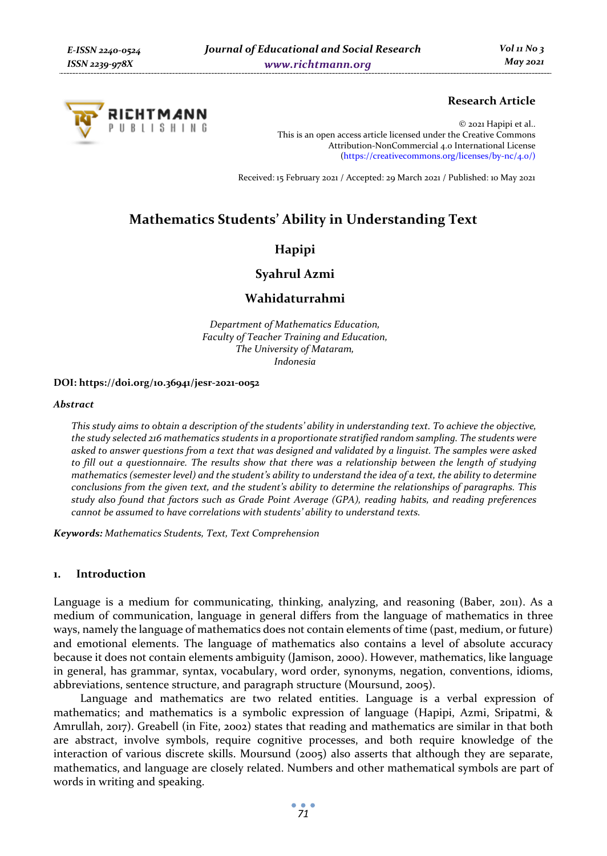

# **Research Article**

© 2021 Hapipi et al.. This is an open access article licensed under the Creative Commons Attribution-NonCommercial 4.0 International License (https://creativecommons.org/licenses/by-nc/4.0/)

Received: 15 February 2021 / Accepted: 29 March 2021 / Published: 10 May 2021

# **Mathematics Students' Ability in Understanding Text**

# **Hapipi**

**Syahrul Azmi** 

# **Wahidaturrahmi**

*Department of Mathematics Education, Faculty of Teacher Training and Education, The University of Mataram, Indonesia* 

#### **DOI: https://doi.org/10.36941/jesr-2021-0052**

#### *Abstract*

*This study aims to obtain a description of the students' ability in understanding text. To achieve the objective, the study selected 216 mathematics students in a proportionate stratified random sampling. The students were asked to answer questions from a text that was designed and validated by a linguist. The samples were asked to fill out a questionnaire. The results show that there was a relationship between the length of studying mathematics (semester level) and the student's ability to understand the idea of a text, the ability to determine conclusions from the given text, and the student's ability to determine the relationships of paragraphs. This study also found that factors such as Grade Point Average (GPA), reading habits, and reading preferences cannot be assumed to have correlations with students' ability to understand texts.* 

*Keywords: Mathematics Students, Text, Text Comprehension* 

# **1. Introduction**

Language is a medium for communicating, thinking, analyzing, and reasoning (Baber, 2011). As a medium of communication, language in general differs from the language of mathematics in three ways, namely the language of mathematics does not contain elements of time (past, medium, or future) and emotional elements. The language of mathematics also contains a level of absolute accuracy because it does not contain elements ambiguity (Jamison, 2000). However, mathematics, like language in general, has grammar, syntax, vocabulary, word order, synonyms, negation, conventions, idioms, abbreviations, sentence structure, and paragraph structure (Moursund, 2005).

Language and mathematics are two related entities. Language is a verbal expression of mathematics; and mathematics is a symbolic expression of language (Hapipi, Azmi, Sripatmi, & Amrullah, 2017). Greabell (in Fite, 2002) states that reading and mathematics are similar in that both are abstract, involve symbols, require cognitive processes, and both require knowledge of the interaction of various discrete skills. Moursund (2005) also asserts that although they are separate, mathematics, and language are closely related. Numbers and other mathematical symbols are part of words in writing and speaking.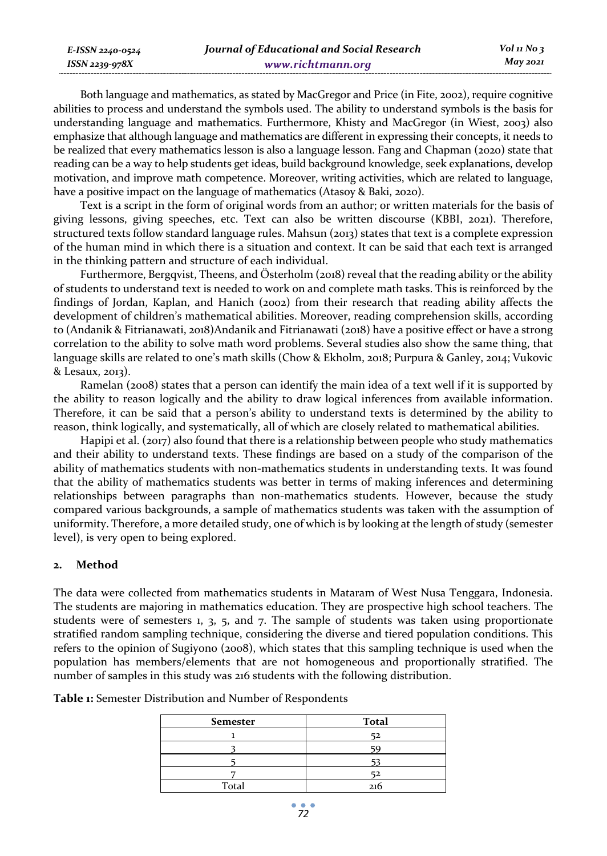Both language and mathematics, as stated by MacGregor and Price (in Fite, 2002), require cognitive abilities to process and understand the symbols used. The ability to understand symbols is the basis for understanding language and mathematics. Furthermore, Khisty and MacGregor (in Wiest, 2003) also emphasize that although language and mathematics are different in expressing their concepts, it needs to be realized that every mathematics lesson is also a language lesson. Fang and Chapman (2020) state that reading can be a way to help students get ideas, build background knowledge, seek explanations, develop motivation, and improve math competence. Moreover, writing activities, which are related to language, have a positive impact on the language of mathematics (Atasoy & Baki, 2020).

Text is a script in the form of original words from an author; or written materials for the basis of giving lessons, giving speeches, etc. Text can also be written discourse (KBBI, 2021). Therefore, structured texts follow standard language rules. Mahsun (2013) states that text is a complete expression of the human mind in which there is a situation and context. It can be said that each text is arranged in the thinking pattern and structure of each individual.

Furthermore, Bergqvist, Theens, and Österholm (2018) reveal that the reading ability or the ability of students to understand text is needed to work on and complete math tasks. This is reinforced by the findings of Jordan, Kaplan, and Hanich (2002) from their research that reading ability affects the development of children's mathematical abilities. Moreover, reading comprehension skills, according to (Andanik & Fitrianawati, 2018)Andanik and Fitrianawati (2018) have a positive effect or have a strong correlation to the ability to solve math word problems. Several studies also show the same thing, that language skills are related to one's math skills (Chow & Ekholm, 2018; Purpura & Ganley, 2014; Vukovic & Lesaux, 2013).

Ramelan (2008) states that a person can identify the main idea of a text well if it is supported by the ability to reason logically and the ability to draw logical inferences from available information. Therefore, it can be said that a person's ability to understand texts is determined by the ability to reason, think logically, and systematically, all of which are closely related to mathematical abilities.

Hapipi et al. (2017) also found that there is a relationship between people who study mathematics and their ability to understand texts. These findings are based on a study of the comparison of the ability of mathematics students with non-mathematics students in understanding texts. It was found that the ability of mathematics students was better in terms of making inferences and determining relationships between paragraphs than non-mathematics students. However, because the study compared various backgrounds, a sample of mathematics students was taken with the assumption of uniformity. Therefore, a more detailed study, one of which is by looking at the length of study (semester level), is very open to being explored.

# **2. Method**

*E-ISSN 2240-0524 ISSN 2239-978X*

The data were collected from mathematics students in Mataram of West Nusa Tenggara, Indonesia. The students are majoring in mathematics education. They are prospective high school teachers. The students were of semesters  $1, 3, 5,$  and  $7$ . The sample of students was taken using proportionate stratified random sampling technique, considering the diverse and tiered population conditions. This refers to the opinion of Sugiyono (2008), which states that this sampling technique is used when the population has members/elements that are not homogeneous and proportionally stratified. The number of samples in this study was 216 students with the following distribution.

| <b>Semester</b> | <b>Total</b> |
|-----------------|--------------|
|                 |              |
|                 |              |
|                 |              |
|                 |              |
| Total           | 216          |

**Table 1:** Semester Distribution and Number of Respondents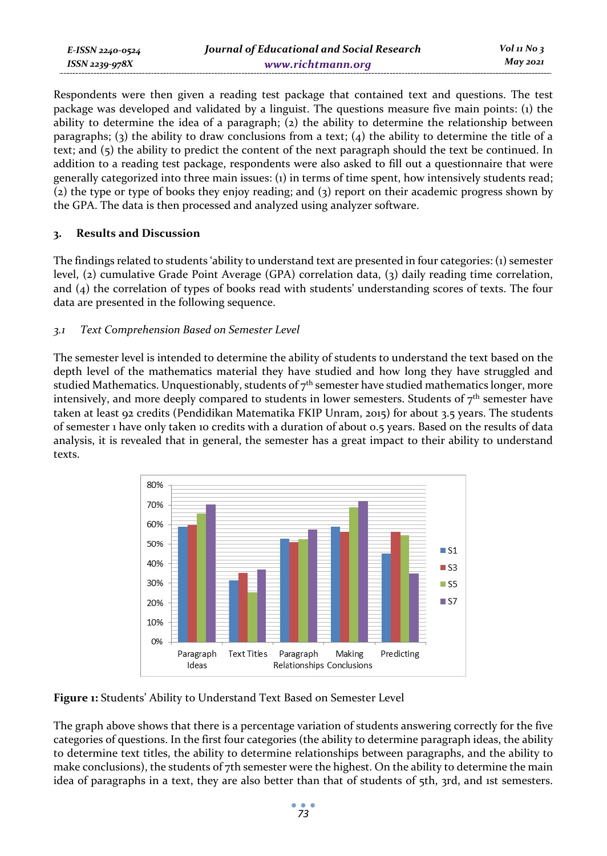Respondents were then given a reading test package that contained text and questions. The test package was developed and validated by a linguist. The questions measure five main points: (1) the ability to determine the idea of a paragraph; (2) the ability to determine the relationship between paragraphs; (3) the ability to draw conclusions from a text; (4) the ability to determine the title of a text; and (5) the ability to predict the content of the next paragraph should the text be continued. In addition to a reading test package, respondents were also asked to fill out a questionnaire that were generally categorized into three main issues: (1) in terms of time spent, how intensively students read; (2) the type or type of books they enjoy reading; and (3) report on their academic progress shown by the GPA. The data is then processed and analyzed using analyzer software.

# **3. Results and Discussion**

The findings related to students 'ability to understand text are presented in four categories: (1) semester level, (2) cumulative Grade Point Average (GPA) correlation data, (3) daily reading time correlation, and (4) the correlation of types of books read with students' understanding scores of texts. The four data are presented in the following sequence.

# *3.1 Text Comprehension Based on Semester Level*

The semester level is intended to determine the ability of students to understand the text based on the depth level of the mathematics material they have studied and how long they have struggled and studied Mathematics. Unquestionably, students of  $7<sup>th</sup>$  semester have studied mathematics longer, more intensively, and more deeply compared to students in lower semesters. Students of  $7<sup>th</sup>$  semester have taken at least 92 credits (Pendidikan Matematika FKIP Unram, 2015) for about 3.5 years. The students of semester 1 have only taken 10 credits with a duration of about 0.5 years. Based on the results of data analysis, it is revealed that in general, the semester has a great impact to their ability to understand texts.



**Figure 1:** Students' Ability to Understand Text Based on Semester Level

The graph above shows that there is a percentage variation of students answering correctly for the five categories of questions. In the first four categories (the ability to determine paragraph ideas, the ability to determine text titles, the ability to determine relationships between paragraphs, and the ability to make conclusions), the students of 7th semester were the highest. On the ability to determine the main idea of paragraphs in a text, they are also better than that of students of 5th, 3rd, and 1st semesters.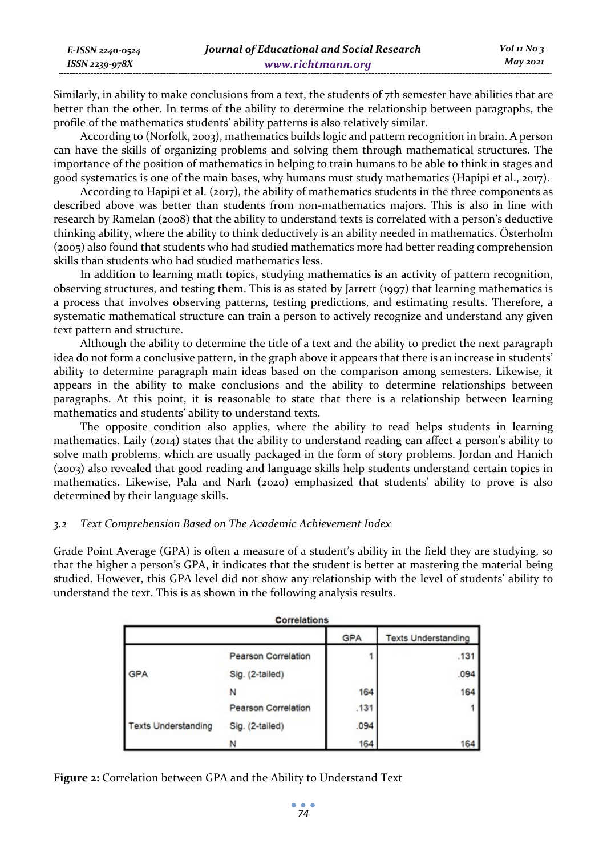| E-ISSN 2240-0524 | Journal of Educational and Social Research | $Vol$ 11 No 3 |
|------------------|--------------------------------------------|---------------|
| ISSN 2239-978X   | www.richtmann.org                          | May 2021      |

Similarly, in ability to make conclusions from a text, the students of 7th semester have abilities that are better than the other. In terms of the ability to determine the relationship between paragraphs, the profile of the mathematics students' ability patterns is also relatively similar.

According to (Norfolk, 2003), mathematics builds logic and pattern recognition in brain. A person can have the skills of organizing problems and solving them through mathematical structures. The importance of the position of mathematics in helping to train humans to be able to think in stages and good systematics is one of the main bases, why humans must study mathematics (Hapipi et al., 2017).

According to Hapipi et al. (2017), the ability of mathematics students in the three components as described above was better than students from non-mathematics majors. This is also in line with research by Ramelan (2008) that the ability to understand texts is correlated with a person's deductive thinking ability, where the ability to think deductively is an ability needed in mathematics. Österholm (2005) also found that students who had studied mathematics more had better reading comprehension skills than students who had studied mathematics less.

In addition to learning math topics, studying mathematics is an activity of pattern recognition, observing structures, and testing them. This is as stated by Jarrett (1997) that learning mathematics is a process that involves observing patterns, testing predictions, and estimating results. Therefore, a systematic mathematical structure can train a person to actively recognize and understand any given text pattern and structure.

Although the ability to determine the title of a text and the ability to predict the next paragraph idea do not form a conclusive pattern, in the graph above it appears that there is an increase in students' ability to determine paragraph main ideas based on the comparison among semesters. Likewise, it appears in the ability to make conclusions and the ability to determine relationships between paragraphs. At this point, it is reasonable to state that there is a relationship between learning mathematics and students' ability to understand texts.

The opposite condition also applies, where the ability to read helps students in learning mathematics. Laily (2014) states that the ability to understand reading can affect a person's ability to solve math problems, which are usually packaged in the form of story problems. Jordan and Hanich (2003) also revealed that good reading and language skills help students understand certain topics in mathematics. Likewise, Pala and Narlı (2020) emphasized that students' ability to prove is also determined by their language skills.

#### *3.2 Text Comprehension Based on The Academic Achievement Index*

Grade Point Average (GPA) is often a measure of a student's ability in the field they are studying, so that the higher a person's GPA, it indicates that the student is better at mastering the material being studied. However, this GPA level did not show any relationship with the level of students' ability to understand the text. This is as shown in the following analysis results.

| <b>Correlations</b>        |                     |            |                            |  |
|----------------------------|---------------------|------------|----------------------------|--|
|                            |                     | <b>GPA</b> | <b>Texts Understanding</b> |  |
|                            | Pearson Correlation |            | .131                       |  |
| <b>GPA</b>                 | Sig. (2-tailed)     |            | .094                       |  |
|                            | N                   | 164        | 164                        |  |
|                            | Pearson Correlation | .131       |                            |  |
| <b>Texts Understanding</b> | Sig. (2-tailed)     | .094       |                            |  |
|                            | N                   | 164        | 164                        |  |

**Figure 2:** Correlation between GPA and the Ability to Understand Text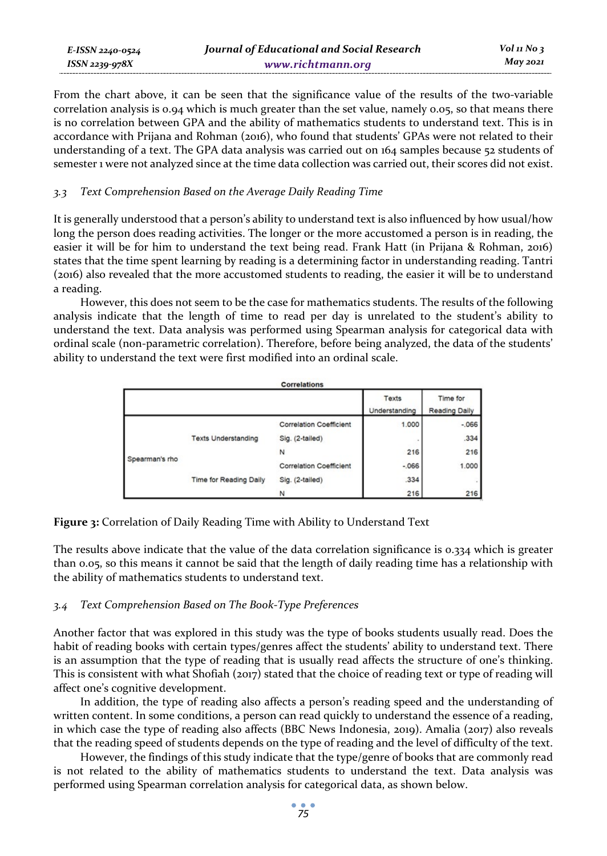From the chart above, it can be seen that the significance value of the results of the two-variable correlation analysis is 0.94 which is much greater than the set value, namely 0.05, so that means there is no correlation between GPA and the ability of mathematics students to understand text. This is in accordance with Prijana and Rohman (2016), who found that students' GPAs were not related to their understanding of a text. The GPA data analysis was carried out on 164 samples because 52 students of semester 1 were not analyzed since at the time data collection was carried out, their scores did not exist.

# *3.3 Text Comprehension Based on the Average Daily Reading Time*

It is generally understood that a person's ability to understand text is also influenced by how usual/how long the person does reading activities. The longer or the more accustomed a person is in reading, the easier it will be for him to understand the text being read. Frank Hatt (in Prijana & Rohman, 2016) states that the time spent learning by reading is a determining factor in understanding reading. Tantri (2016) also revealed that the more accustomed students to reading, the easier it will be to understand a reading.

However, this does not seem to be the case for mathematics students. The results of the following analysis indicate that the length of time to read per day is unrelated to the student's ability to understand the text. Data analysis was performed using Spearman analysis for categorical data with ordinal scale (non-parametric correlation). Therefore, before being analyzed, the data of the students' ability to understand the text were first modified into an ordinal scale.

| <b>Correlations</b> |                            |                                |                        |                                  |
|---------------------|----------------------------|--------------------------------|------------------------|----------------------------------|
|                     |                            |                                | Texts<br>Understanding | Time for<br><b>Reading Daily</b> |
| Spearman's rho      | <b>Texts Understanding</b> | <b>Correlation Coefficient</b> | 1.000                  | $-066$                           |
|                     |                            | Sig. (2-tailed)                |                        | .334                             |
|                     |                            | N                              | 216                    | 216                              |
|                     | Time for Reading Daily     | <b>Correlation Coefficient</b> | $-0.066$               | 1.000                            |
|                     |                            | Sig. (2-tailed)                | .334                   |                                  |
|                     |                            |                                | 216                    | 216                              |

**Figure 3:** Correlation of Daily Reading Time with Ability to Understand Text

The results above indicate that the value of the data correlation significance is 0.334 which is greater than 0.05, so this means it cannot be said that the length of daily reading time has a relationship with the ability of mathematics students to understand text.

# *3.4 Text Comprehension Based on The Book-Type Preferences*

Another factor that was explored in this study was the type of books students usually read. Does the habit of reading books with certain types/genres affect the students' ability to understand text. There is an assumption that the type of reading that is usually read affects the structure of one's thinking. This is consistent with what Shofiah (2017) stated that the choice of reading text or type of reading will affect one's cognitive development.

In addition, the type of reading also affects a person's reading speed and the understanding of written content. In some conditions, a person can read quickly to understand the essence of a reading, in which case the type of reading also affects (BBC News Indonesia, 2019). Amalia (2017) also reveals that the reading speed of students depends on the type of reading and the level of difficulty of the text.

However, the findings of this study indicate that the type/genre of books that are commonly read is not related to the ability of mathematics students to understand the text. Data analysis was performed using Spearman correlation analysis for categorical data, as shown below.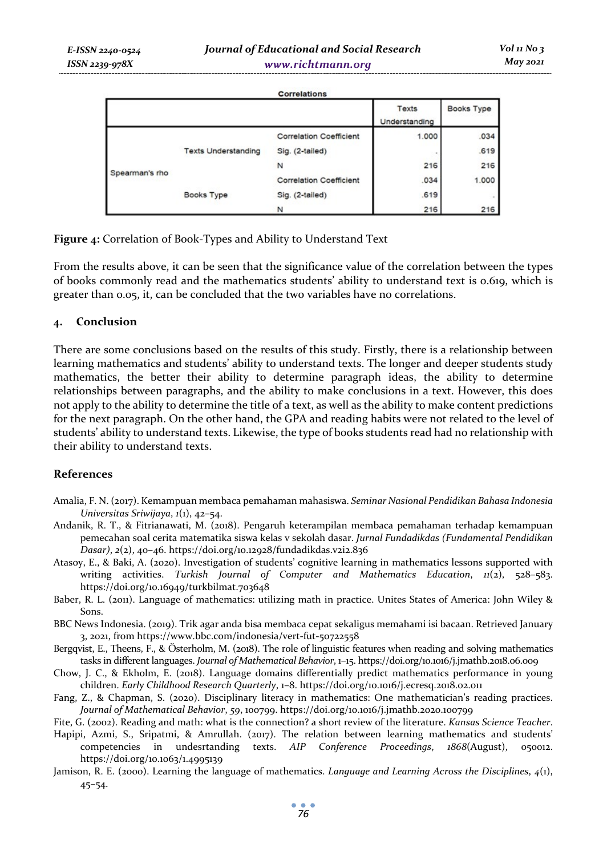|                |                            |                                | Texts<br>Understanding | Books Type |
|----------------|----------------------------|--------------------------------|------------------------|------------|
| Spearman's rho |                            | <b>Correlation Coefficient</b> | 1.000                  | .034       |
|                | <b>Texts Understanding</b> | Sig. (2-tailed)                |                        | .619       |
|                |                            | N                              | 216                    | 216        |
|                | <b>Books Type</b>          | <b>Correlation Coefficient</b> | .034                   | 1.000      |
|                |                            | Sig. (2-tailed)                | .619                   | $\sim$     |
|                |                            | N                              | 216                    | 216        |

**Figure 4:** Correlation of Book-Types and Ability to Understand Text

From the results above, it can be seen that the significance value of the correlation between the types of books commonly read and the mathematics students' ability to understand text is 0.619, which is greater than 0.05, it, can be concluded that the two variables have no correlations.

#### **4. Conclusion**

There are some conclusions based on the results of this study. Firstly, there is a relationship between learning mathematics and students' ability to understand texts. The longer and deeper students study mathematics, the better their ability to determine paragraph ideas, the ability to determine relationships between paragraphs, and the ability to make conclusions in a text. However, this does not apply to the ability to determine the title of a text, as well as the ability to make content predictions for the next paragraph. On the other hand, the GPA and reading habits were not related to the level of students' ability to understand texts. Likewise, the type of books students read had no relationship with their ability to understand texts.

# **References**

- Amalia, F. N. (2017). Kemampuan membaca pemahaman mahasiswa. *Seminar Nasional Pendidikan Bahasa Indonesia Universitas Sriwijaya*, *1*(1), 42–54.
- Andanik, R. T., & Fitrianawati, M. (2018). Pengaruh keterampilan membaca pemahaman terhadap kemampuan pemecahan soal cerita matematika siswa kelas v sekolah dasar. *Jurnal Fundadikdas (Fundamental Pendidikan Dasar)*, *2*(2), 40–46. https://doi.org/10.12928/fundadikdas.v2i2.836
- Atasoy, E., & Baki, A. (2020). Investigation of students' cognitive learning in mathematics lessons supported with writing activities. *Turkish Journal of Computer and Mathematics Education*,  $n(2)$ , 528-583. https://doi.org/10.16949/turkbilmat.703648
- Baber, R. L. (2011). Language of mathematics: utilizing math in practice. Unites States of America: John Wiley & Sons.
- BBC News Indonesia. (2019). Trik agar anda bisa membaca cepat sekaligus memahami isi bacaan. Retrieved January 3, 2021, from https://www.bbc.com/indonesia/vert-fut-50722558
- Bergqvist, E., Theens, F., & Österholm, M. (2018). The role of linguistic features when reading and solving mathematics tasks in different languages. *Journal of Mathematical Behavior*, 1–15. https://doi.org/10.1016/j.jmathb.2018.06.009
- Chow, J. C., & Ekholm, E. (2018). Language domains differentially predict mathematics performance in young children. *Early Childhood Research Quarterly*, 1–8. https://doi.org/10.1016/j.ecresq.2018.02.011
- Fang, Z., & Chapman, S. (2020). Disciplinary literacy in mathematics: One mathematician's reading practices. *Journal of Mathematical Behavior*, *59*, 100799. https://doi.org/10.1016/j.jmathb.2020.100799
- Fite, G. (2002). Reading and math: what is the connection? a short review of the literature. *Kansas Science Teacher*.
- Hapipi, Azmi, S., Sripatmi, & Amrullah. (2017). The relation between learning mathematics and students' competencies in undesrtanding texts. *AIP Conference Proceedings*, *1868*(August), 050012. https://doi.org/10.1063/1.4995139
- Jamison, R. E. (2000). Learning the language of mathematics. *Language and Learning Across the Disciplines*, *4*(1), 45–54.